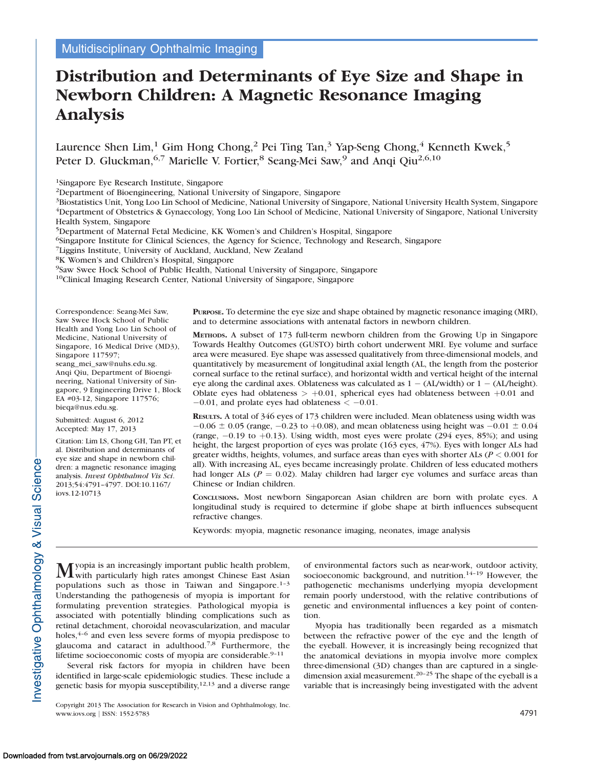# Distribution and Determinants of Eye Size and Shape in Newborn Children: A Magnetic Resonance Imaging Analysis

Laurence Shen Lim,<sup>1</sup> Gim Hong Chong,<sup>2</sup> Pei Ting Tan,<sup>3</sup> Yap-Seng Chong,<sup>4</sup> Kenneth Kwek,<sup>5</sup> Peter D. Gluckman,<sup>6,7</sup> Marielle V. Fortier,<sup>8</sup> Seang-Mei Saw,<sup>9</sup> and Anqi Qiu<sup>2,6,10</sup>

1Singapore Eye Research Institute, Singapore

2Department of Bioengineering, National University of Singapore, Singapore

<sup>3</sup>Biostatistics Unit, Yong Loo Lin School of Medicine, National University of Singapore, National University Health System, Singapore 4Department of Obstetrics & Gynaecology, Yong Loo Lin School of Medicine, National University of Singapore, National University Health System, Singapore

5Department of Maternal Fetal Medicine, KK Women's and Children's Hospital, Singapore

6Singapore Institute for Clinical Sciences, the Agency for Science, Technology and Research, Singapore

7Liggins Institute, University of Auckland, Auckland, New Zealand

8K Women's and Children's Hospital, Singapore

9Saw Swee Hock School of Public Health, National University of Singapore, Singapore

10Clinical Imaging Research Center, National University of Singapore, Singapore

Correspondence: Seang-Mei Saw, Saw Swee Hock School of Public Health and Yong Loo Lin School of Medicine, National University of Singapore, 16 Medical Drive (MD3), Singapore 117597;

seang\_mei\_saw@nuhs.edu.sg. Anqi Qiu, Department of Bioengineering, National University of Singapore, 9 Engineering Drive 1, Block EA #03-12, Singapore 117576; bieqa@nus.edu.sg.

Submitted: August 6, 2012 Accepted: May 17, 2013

Citation: Lim LS, Chong GH, Tan PT, et al. Distribution and determinants of eye size and shape in newborn children: a magnetic resonance imaging analysis. Invest Ophthalmol Vis Sci. 2013;54:4791–4797. DOI:10.1167/ iovs.12-10713

PURPOSE. To determine the eye size and shape obtained by magnetic resonance imaging (MRI), and to determine associations with antenatal factors in newborn children.

METHODS. A subset of 173 full-term newborn children from the Growing Up in Singapore Towards Healthy Outcomes (GUSTO) birth cohort underwent MRI. Eye volume and surface area were measured. Eye shape was assessed qualitatively from three-dimensional models, and quantitatively by measurement of longitudinal axial length (AL, the length from the posterior corneal surface to the retinal surface), and horizontal width and vertical height of the internal eye along the cardinal axes. Oblateness was calculated as  $1 - (AL/width)$  or  $1 - (AL/height)$ . Oblate eyes had oblateness  $> +0.01$ , spherical eyes had oblateness between  $+0.01$  and  $-0.01$ , and prolate eyes had oblateness  $<-0.01$ .

RESULTS. A total of 346 eyes of 173 children were included. Mean oblateness using width was  $-0.06 \pm 0.05$  (range,  $-0.23$  to  $+0.08$ ), and mean oblateness using height was  $-0.01 \pm 0.04$ (range,  $-0.19$  to  $+0.13$ ). Using width, most eyes were prolate (294 eyes, 85%); and using height, the largest proportion of eyes was prolate (163 eyes, 47%). Eyes with longer ALs had greater widths, heights, volumes, and surface areas than eyes with shorter ALs ( $P < 0.001$  for all). With increasing AL, eyes became increasingly prolate. Children of less educated mothers had longer ALs ( $P = 0.02$ ). Malay children had larger eye volumes and surface areas than Chinese or Indian children.

CONCLUSIONS. Most newborn Singaporean Asian children are born with prolate eyes. A longitudinal study is required to determine if globe shape at birth influences subsequent refractive changes.

Keywords: myopia, magnetic resonance imaging, neonates, image analysis

Myopia is an increasingly important public health problem,<br>with particularly high rates amongst Chinese East Asian populations such as those in Taiwan and Singapore. $1-3$ Understanding the pathogenesis of myopia is important for formulating prevention strategies. Pathological myopia is associated with potentially blinding complications such as retinal detachment, choroidal neovascularization, and macular holes, $4-6$  and even less severe forms of myopia predispose to glaucoma and cataract in adulthood.7,8 Furthermore, the lifetime socioeconomic costs of myopia are considerable. $9-11$ 

Several risk factors for myopia in children have been identified in large-scale epidemiologic studies. These include a genetic basis for myopia susceptibility, $12,13$  and a diverse range of environmental factors such as near-work, outdoor activity, socioeconomic background, and nutrition.<sup>14-19</sup> However, the pathogenetic mechanisms underlying myopia development remain poorly understood, with the relative contributions of genetic and environmental influences a key point of contention.

Myopia has traditionally been regarded as a mismatch between the refractive power of the eye and the length of the eyeball. However, it is increasingly being recognized that the anatomical deviations in myopia involve more complex three-dimensional (3D) changes than are captured in a singledimension axial measurement.<sup>20–25</sup> The shape of the eyeball is a variable that is increasingly being investigated with the advent

Copyright 2013 The Association for Research in Vision and Ophthalmology, Inc. www.iovs.org | ISSN: 1552-5783 4791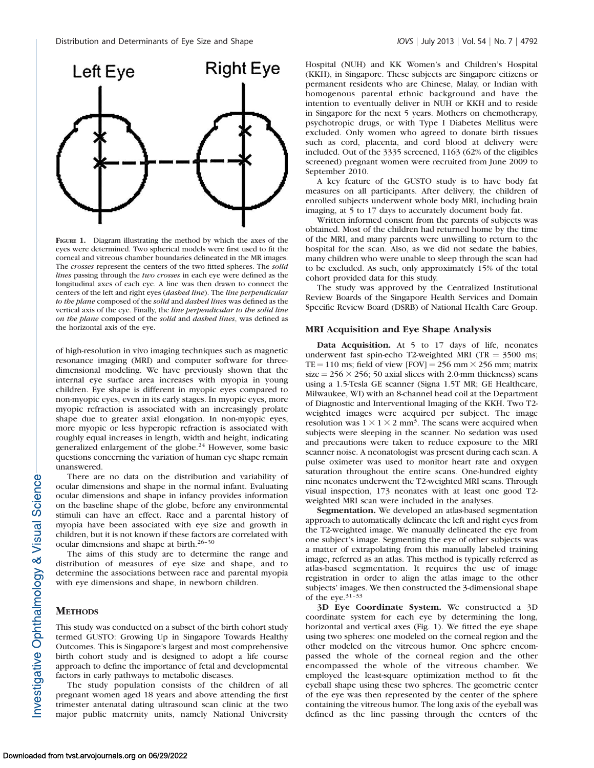

FIGURE 1. Diagram illustrating the method by which the axes of the eyes were determined. Two spherical models were first used to fit the corneal and vitreous chamber boundaries delineated in the MR images. The crosses represent the centers of the two fitted spheres. The solid lines passing through the two crosses in each eye were defined as the longitudinal axes of each eye. A line was then drawn to connect the centers of the left and right eyes (dashed line). The line perpendicular to the plane composed of the solid and dashed lines was defined as the vertical axis of the eye. Finally, the line perpendicular to the solid line on the plane composed of the solid and dashed lines, was defined as the horizontal axis of the eye.

of high-resolution in vivo imaging techniques such as magnetic resonance imaging (MRI) and computer software for threedimensional modeling. We have previously shown that the internal eye surface area increases with myopia in young children. Eye shape is different in myopic eyes compared to non-myopic eyes, even in its early stages. In myopic eyes, more myopic refraction is associated with an increasingly prolate shape due to greater axial elongation. In non-myopic eyes, more myopic or less hyperopic refraction is associated with roughly equal increases in length, width and height, indicating generalized enlargement of the globe.<sup>24</sup> However, some basic questions concerning the variation of human eye shape remain unanswered.

There are no data on the distribution and variability of ocular dimensions and shape in the normal infant. Evaluating ocular dimensions and shape in infancy provides information on the baseline shape of the globe, before any environmental stimuli can have an effect. Race and a parental history of myopia have been associated with eye size and growth in children, but it is not known if these factors are correlated with ocular dimensions and shape at birth.26–30

The aims of this study are to determine the range and distribution of measures of eye size and shape, and to determine the associations between race and parental myopia with eye dimensions and shape, in newborn children.

## **METHODS**

This study was conducted on a subset of the birth cohort study termed GUSTO: Growing Up in Singapore Towards Healthy Outcomes. This is Singapore's largest and most comprehensive birth cohort study and is designed to adopt a life course approach to define the importance of fetal and developmental factors in early pathways to metabolic diseases.

The study population consists of the children of all pregnant women aged 18 years and above attending the first trimester antenatal dating ultrasound scan clinic at the two major public maternity units, namely National University

Hospital (NUH) and KK Women's and Children's Hospital (KKH), in Singapore. These subjects are Singapore citizens or permanent residents who are Chinese, Malay, or Indian with homogenous parental ethnic background and have the intention to eventually deliver in NUH or KKH and to reside in Singapore for the next 5 years. Mothers on chemotherapy, psychotropic drugs, or with Type I Diabetes Mellitus were excluded. Only women who agreed to donate birth tissues such as cord, placenta, and cord blood at delivery were included. Out of the 3335 screened, 1163 (62% of the eligibles screened) pregnant women were recruited from June 2009 to September 2010.

A key feature of the GUSTO study is to have body fat measures on all participants. After delivery, the children of enrolled subjects underwent whole body MRI, including brain imaging, at 5 to 17 days to accurately document body fat.

Written informed consent from the parents of subjects was obtained. Most of the children had returned home by the time of the MRI, and many parents were unwilling to return to the hospital for the scan. Also, as we did not sedate the babies, many children who were unable to sleep through the scan had to be excluded. As such, only approximately 15% of the total cohort provided data for this study.

The study was approved by the Centralized Institutional Review Boards of the Singapore Health Services and Domain Specific Review Board (DSRB) of National Health Care Group.

# MRI Acquisition and Eye Shape Analysis

Data Acquisition. At 5 to 17 days of life, neonates underwent fast spin-echo T2-weighted MRI (TR  $=$  3500 ms; TE = 110 ms; field of view [FOV] = 256 mm  $\times$  256 mm; matrix  $size = 256 \times 256$ ; 50 axial slices with 2.0-mm thickness) scans using a 1.5-Tesla GE scanner (Signa 1.5T MR; GE Healthcare, Milwaukee, WI) with an 8-channel head coil at the Department of Diagnostic and Interventional Imaging of the KKH. Two T2 weighted images were acquired per subject. The image resolution was  $1 \times 1 \times 2$  mm<sup>3</sup>. The scans were acquired when subjects were sleeping in the scanner. No sedation was used and precautions were taken to reduce exposure to the MRI scanner noise. A neonatologist was present during each scan. A pulse oximeter was used to monitor heart rate and oxygen saturation throughout the entire scans. One-hundred eighty nine neonates underwent the T2-weighted MRI scans. Through visual inspection, 173 neonates with at least one good T2 weighted MRI scan were included in the analyses.

Segmentation. We developed an atlas-based segmentation approach to automatically delineate the left and right eyes from the T2-weighted image. We manually delineated the eye from one subject's image. Segmenting the eye of other subjects was a matter of extrapolating from this manually labeled training image, referred as an atlas. This method is typically referred as atlas-based segmentation. It requires the use of image registration in order to align the atlas image to the other subjects' images. We then constructed the 3-dimensional shape of the eye.31–33

3D Eye Coordinate System. We constructed a 3D coordinate system for each eye by determining the long, horizontal and vertical axes (Fig. 1). We fitted the eye shape using two spheres: one modeled on the corneal region and the other modeled on the vitreous humor. One sphere encompassed the whole of the corneal region and the other encompassed the whole of the vitreous chamber. We employed the least-square optimization method to fit the eyeball shape using these two spheres. The geometric center of the eye was then represented by the center of the sphere containing the vitreous humor. The long axis of the eyeball was defined as the line passing through the centers of the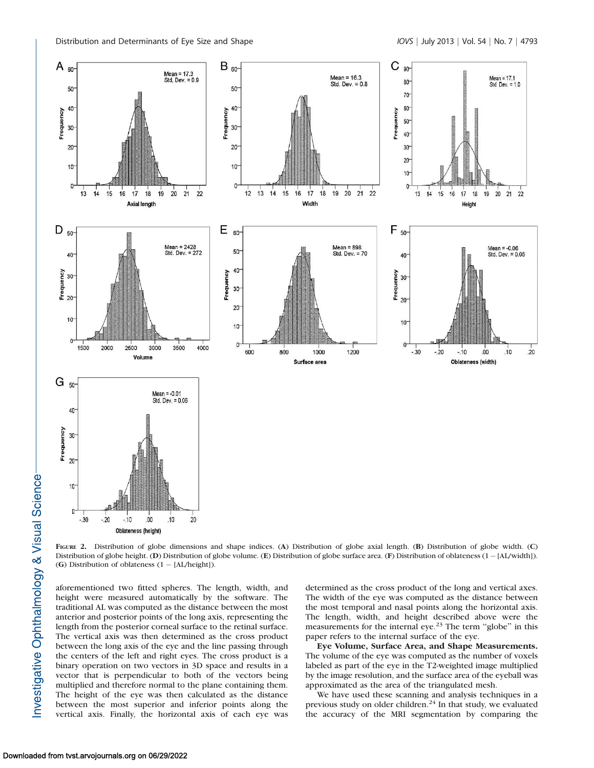

FIGURE 2. Distribution of globe dimensions and shape indices. (A) Distribution of globe axial length. (B) Distribution of globe width. (C) Distribution of globe height. (D) Distribution of globe volume. (E) Distribution of globe surface area. (F) Distribution of oblateness (1-[AL/width]). (G) Distribution of oblateness (1 - [AL/height]).

aforementioned two fitted spheres. The length, width, and height were measured automatically by the software. The traditional AL was computed as the distance between the most anterior and posterior points of the long axis, representing the length from the posterior corneal surface to the retinal surface. The vertical axis was then determined as the cross product between the long axis of the eye and the line passing through the centers of the left and right eyes. The cross product is a binary operation on two vectors in 3D space and results in a vector that is perpendicular to both of the vectors being multiplied and therefore normal to the plane containing them. The height of the eye was then calculated as the distance between the most superior and inferior points along the vertical axis. Finally, the horizontal axis of each eye was determined as the cross product of the long and vertical axes. The width of the eye was computed as the distance between the most temporal and nasal points along the horizontal axis. The length, width, and height described above were the measurements for the internal eye.<sup>23</sup> The term "globe" in this paper refers to the internal surface of the eye.

Eye Volume, Surface Area, and Shape Measurements. The volume of the eye was computed as the number of voxels labeled as part of the eye in the T2-weighted image multiplied by the image resolution, and the surface area of the eyeball was approximated as the area of the triangulated mesh.

We have used these scanning and analysis techniques in a previous study on older children.<sup>24</sup> In that study, we evaluated the accuracy of the MRI segmentation by comparing the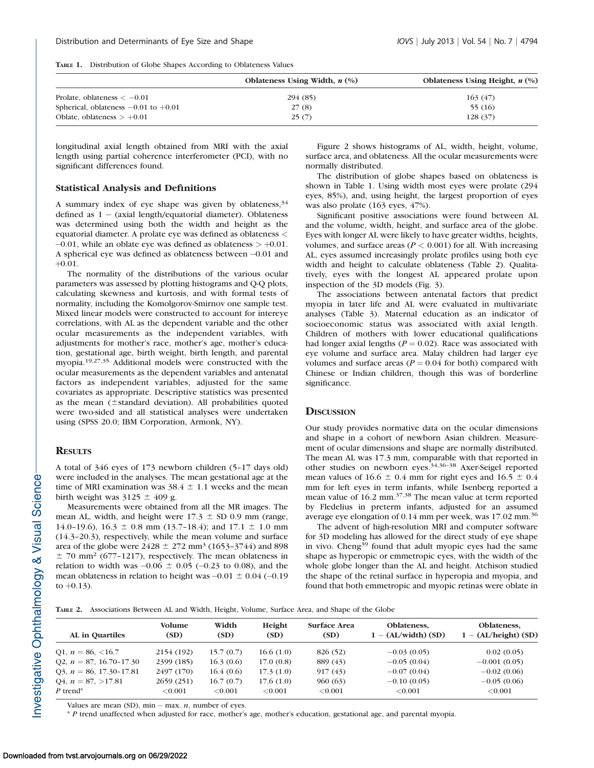|  | TABLE 1. Distribution of Globe Shapes According to Oblateness Values |  |  |  |  |  |  |  |
|--|----------------------------------------------------------------------|--|--|--|--|--|--|--|
|--|----------------------------------------------------------------------|--|--|--|--|--|--|--|

|                                          | Oblateness Using Width, $n$ $\left(\frac{0}{0}\right)$ | Oblateness Using Height, $n$ $(\%)$ |  |  |
|------------------------------------------|--------------------------------------------------------|-------------------------------------|--|--|
| Prolate, oblateness $<-0.01$             | 294 (85)                                               | 163(47)                             |  |  |
| Spherical, oblateness $-0.01$ to $+0.01$ | 27(8)                                                  | 55 (16)                             |  |  |
| Oblate, oblateness $> +0.01$             | 25(7)                                                  | 128(37)                             |  |  |

longitudinal axial length obtained from MRI with the axial length using partial coherence interferometer (PCI), with no significant differences found.

### Statistical Analysis and Definitions

A summary index of eye shape was given by oblateness,  $34$ defined as  $1 - (axial length/equatorial diameter)$ . Oblateness was determined using both the width and height as the equatorial diameter. A prolate eye was defined as oblateness <  $-0.01$ , while an oblate eye was defined as oblateness  $> +0.01$ . A spherical eye was defined as oblateness between -0.01 and  $+0.01.$ 

The normality of the distributions of the various ocular parameters was assessed by plotting histograms and Q-Q plots, calculating skewness and kurtosis, and with formal tests of normality, including the Komolgorov-Smirnov one sample test. Mixed linear models were constructed to account for intereye correlations, with AL as the dependent variable and the other ocular measurements as the independent variables, with adjustments for mother's race, mother's age, mother's education, gestational age, birth weight, birth length, and parental myopia.19,27,35 Additional models were constructed with the ocular measurements as the dependent variables and antenatal factors as independent variables, adjusted for the same covariates as appropriate. Descriptive statistics was presented as the mean  $(\pm$ standard deviation). All probabilities quoted were two-sided and all statistical analyses were undertaken using (SPSS 20.0; IBM Corporation, Armonk, NY).

#### **RESULTS**

# A total of 346 eyes of 173 newborn children (5–17 days old) were included in the analyses. The mean gestational age at the time of MRI examination was  $38.4 \pm 1.1$  weeks and the mean birth weight was  $3125 \pm 409$  g.

Measurements were obtained from all the MR images. The mean AL, width, and height were  $17.3 \pm SD$  0.9 mm (range, 14.0–19.6), 16.3  $\pm$  0.8 mm (13.7–18.4); and 17.1  $\pm$  1.0 mm (14.3–20.3), respectively, while the mean volume and surface area of the globe were  $2428 \pm 272$  mm<sup>3</sup> (1653–3744) and 898  $±$  70 mm<sup>2</sup> (677-1217), respectively. The mean oblateness in relation to width was  $-0.06 \pm 0.05$  ( $-0.23$  to 0.08), and the mean oblateness in relation to height was  $-0.01 \pm 0.04$  ( $-0.19$ ) to  $+0.13$ ).

Figure 2 shows histograms of AL, width, height, volume, surface area, and oblateness. All the ocular measurements were normally distributed.

The distribution of globe shapes based on oblateness is shown in Table 1. Using width most eyes were prolate (294 eyes, 85%), and, using height, the largest proportion of eyes was also prolate (163 eyes, 47%).

Significant positive associations were found between AL and the volume, width, height, and surface area of the globe. Eyes with longer AL were likely to have greater widths, heights, volumes, and surface areas ( $P < 0.001$ ) for all. With increasing AL, eyes assumed increasingly prolate profiles using both eye width and height to calculate oblateness (Table 2). Qualitatively, eyes with the longest AL appeared prolate upon inspection of the 3D models (Fig. 3).

The associations between antenatal factors that predict myopia in later life and AL were evaluated in multivariate analyses (Table 3). Maternal education as an indicator of socioeconomic status was associated with axial length. Children of mothers with lower educational qualifications had longer axial lengths ( $P = 0.02$ ). Race was associated with eye volume and surface area. Malay children had larger eye volumes and surface areas ( $P = 0.04$  for both) compared with Chinese or Indian children, though this was of borderline significance.

## **DISCUSSION**

Our study provides normative data on the ocular dimensions and shape in a cohort of newborn Asian children. Measurement of ocular dimensions and shape are normally distributed. The mean AL was 17.3 mm, comparable with that reported in other studies on newborn eyes.34,36–38 Axer-Seigel reported mean values of  $16.6 \pm 0.4$  mm for right eyes and  $16.5 \pm 0.4$ mm for left eyes in term infants, while Isenberg reported a mean value of 16.2 mm.37,38 The mean value at term reported by Fledelius in preterm infants, adjusted for an assumed average eye elongation of 0.14 mm per week, was 17.02 mm.<sup>36</sup>

The advent of high-resolution MRI and computer software for 3D modeling has allowed for the direct study of eye shape in vivo. Cheng<sup>39</sup> found that adult myopic eyes had the same shape as hyperopic or emmetropic eyes, with the width of the whole globe longer than the AL and height. Atchison studied the shape of the retinal surface in hyperopia and myopia, and found that both emmetropic and myopic retinas were oblate in

TABLE 2. Associations Between AL and Width, Height, Volume, Surface Area, and Shape of the Globe

| <b>AL</b> in Quartiles      | <b>Volume</b><br>(SD) | Width<br>(SD) | Height<br>(SD) | <b>Surface Area</b><br>(SD) | Oblateness.<br>$1 - (AL/width) (SD)$ | Oblateness.<br>$1 - (AL/height)$ (SD) |
|-----------------------------|-----------------------|---------------|----------------|-----------------------------|--------------------------------------|---------------------------------------|
| O1, $n = 86, \le 16.7$      | 2154 (192)            | 15.7(0.7)     | 16.6(1.0)      | 826 (52)                    | $-0.03(0.05)$                        | 0.02(0.05)                            |
| O2, $n = 87, 16.70 - 17.30$ | 2399 (185)            | 16.3(0.6)     | 17.0(0.8)      | 889 (43)                    | $-0.05(0.04)$                        | $-0.001(0.05)$                        |
| O3, $n = 86, 17.30 - 17.81$ | 2497 (170)            | 16.4(0.6)     | 17.3(1.0)      | 917(43)                     | $-0.07(0.04)$                        | $-0.02(0.06)$                         |
| $Q4, n = 87, >17.81$        | 2659(251)             | 16.7(0.7)     | 17.6(1.0)      | 960(63)                     | $-0.10(0.05)$                        | $-0.05(0.06)$                         |
| $P$ trend <sup>*</sup>      | ${<}0.001$            | < 0.001       | < 0.001        | < 0.001                     | ${<}0.001$                           | < 0.001                               |

Values are mean (SD),  $min - max. n$ , number of eyes.

\* P trend unaffected when adjusted for race, mother's age, mother's education, gestational age, and parental myopia.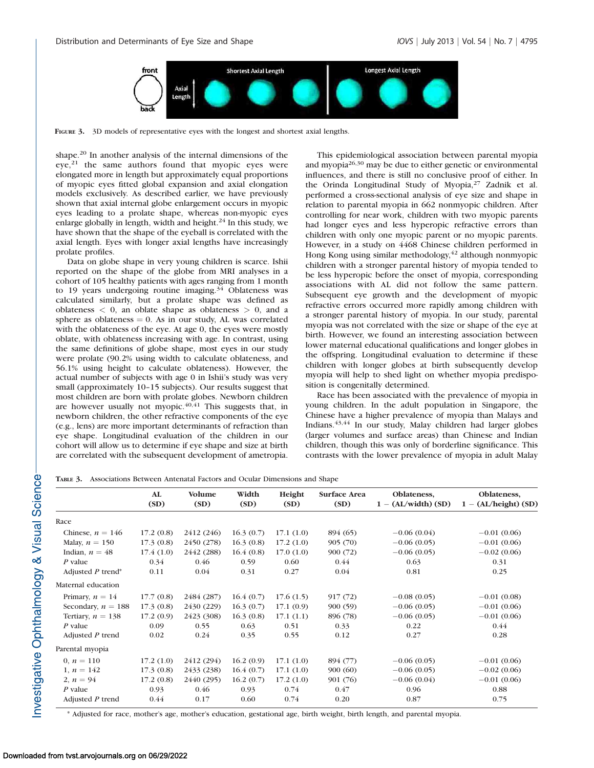

FIGURE 3. 3D models of representative eyes with the longest and shortest axial lengths.

shape.<sup>20</sup> In another analysis of the internal dimensions of the  $eye<sub>1</sub><sup>21</sup>$  the same authors found that myopic eyes were elongated more in length but approximately equal proportions of myopic eyes fitted global expansion and axial elongation models exclusively. As described earlier, we have previously shown that axial internal globe enlargement occurs in myopic eyes leading to a prolate shape, whereas non-myopic eyes enlarge globally in length, width and height.<sup>24</sup> In this study, we have shown that the shape of the eyeball is correlated with the axial length. Eyes with longer axial lengths have increasingly prolate profiles.

Data on globe shape in very young children is scarce. Ishii reported on the shape of the globe from MRI analyses in a cohort of 105 healthy patients with ages ranging from 1 month to 19 years undergoing routine imaging. $34$  Oblateness was calculated similarly, but a prolate shape was defined as oblateness  $\langle 0, \text{ an oblate shape as oblateness } \rangle 0$ , and a sphere as oblateness  $= 0$ . As in our study, AL was correlated with the oblateness of the eye. At age 0, the eyes were mostly oblate, with oblateness increasing with age. In contrast, using the same definitions of globe shape, most eyes in our study were prolate (90.2% using width to calculate oblateness, and 56.1% using height to calculate oblateness). However, the actual number of subjects with age 0 in Ishii's study was very small (approximately 10–15 subjects). Our results suggest that most children are born with prolate globes. Newborn children are however usually not myopic. $40,41$  This suggests that, in newborn children, the other refractive components of the eye (e.g., lens) are more important determinants of refraction than eye shape. Longitudinal evaluation of the children in our cohort will allow us to determine if eye shape and size at birth are correlated with the subsequent development of ametropia.

This epidemiological association between parental myopia and myopia26,30 may be due to either genetic or environmental influences, and there is still no conclusive proof of either. In the Orinda Longitudinal Study of Myopia,<sup>27</sup> Zadnik et al. performed a cross-sectional analysis of eye size and shape in relation to parental myopia in 662 nonmyopic children. After controlling for near work, children with two myopic parents had longer eyes and less hyperopic refractive errors than children with only one myopic parent or no myopic parents. However, in a study on 4468 Chinese children performed in Hong Kong using similar methodology,<sup>42</sup> although nonmyopic children with a stronger parental history of myopia tended to be less hyperopic before the onset of myopia, corresponding associations with AL did not follow the same pattern. Subsequent eye growth and the development of myopic refractive errors occurred more rapidly among children with a stronger parental history of myopia. In our study, parental myopia was not correlated with the size or shape of the eye at birth. However, we found an interesting association between lower maternal educational qualifications and longer globes in the offspring. Longitudinal evaluation to determine if these children with longer globes at birth subsequently develop myopia will help to shed light on whether myopia predisposition is congenitally determined.

Race has been associated with the prevalence of myopia in young children. In the adult population in Singapore, the Chinese have a higher prevalence of myopia than Malays and Indians.43,44 In our study, Malay children had larger globes (larger volumes and surface areas) than Chinese and Indian children, though this was only of borderline significance. This contrasts with the lower prevalence of myopia in adult Malay

TABLE 3. Associations Between Antenatal Factors and Ocular Dimensions and Shape

|                      | AL<br>(SD) | <b>Volume</b><br>(SD) | Width<br>(SD) | Height<br>(SD) | <b>Surface Area</b><br>(SD) | Oblateness,<br>$1 - (AL/width) (SD)$ | Oblateness,<br>$1 - (AL/height)$ (SD) |
|----------------------|------------|-----------------------|---------------|----------------|-----------------------------|--------------------------------------|---------------------------------------|
| Race                 |            |                       |               |                |                             |                                      |                                       |
| Chinese, $n = 146$   | 17.2(0.8)  | 2412 (246)            | 16.3(0.7)     | 17.1(1.0)      | 894 (65)                    | $-0.06(0.04)$                        | $-0.01(0.06)$                         |
| Malay, $n = 150$     | 17.3(0.8)  | 2450 (278)            | 16.3(0.8)     | 17.2(1.0)      | 905 (70)                    | $-0.06(0.05)$                        | $-0.01(0.06)$                         |
| Indian, $n = 48$     | 17.4(1.0)  | 2442 (288)            | 16.4(0.8)     | 17.0(1.0)      | 900 (72)                    | $-0.06(0.05)$                        | $-0.02(0.06)$                         |
| $P$ value            | 0.34       | 0.46                  | 0.59          | 0.60           | 0.44                        | 0.63                                 | 0.31                                  |
| Adjusted $P$ trend*  | 0.11       | 0.04                  | 0.31          | 0.27           | 0.04                        | 0.81                                 | 0.25                                  |
| Maternal education   |            |                       |               |                |                             |                                      |                                       |
| Primary, $n = 14$    | 17.7(0.8)  | 2484 (287)            | 16.4(0.7)     | 17.6(1.5)      | 917(72)                     | $-0.08(0.05)$                        | $-0.01(0.08)$                         |
| Secondary, $n = 188$ | 17.3(0.8)  | 2430 (229)            | 16.3(0.7)     | 17.1(0.9)      | 900(59)                     | $-0.06(0.05)$                        | $-0.01(0.06)$                         |
| Tertiary, $n = 138$  | 17.2(0.9)  | 2423 (308)            | 16.3(0.8)     | 17.1(1.1)      | 896 (78)                    | $-0.06(0.05)$                        | $-0.01(0.06)$                         |
| $P$ value            | 0.09       | 0.55                  | 0.63          | 0.51           | 0.33                        | 0.22                                 | 0.44                                  |
| Adjusted $P$ trend   | 0.02       | 0.24                  | 0.35          | 0.55           | 0.12                        | 0.27                                 | 0.28                                  |
| Parental myopia      |            |                       |               |                |                             |                                      |                                       |
| 0, $n = 110$         | 17.2(1.0)  | 2412 (294)            | 16.2(0.9)     | 17.1(1.0)      | 894 (77)                    | $-0.06(0.05)$                        | $-0.01(0.06)$                         |
| 1, $n = 142$         | 17.3(0.8)  | 2433 (238)            | 16.4(0.7)     | 17.1(1.0)      | 900(60)                     | $-0.06(0.05)$                        | $-0.02(0.06)$                         |
| 2, $n = 94$          | 17.2(0.8)  | 2440 (295)            | 16.2(0.7)     | 17.2(1.0)      | 901 (76)                    | $-0.06(0.04)$                        | $-0.01(0.06)$                         |
| $P$ value            | 0.93       | 0.46                  | 0.93          | 0.74           | 0.47                        | 0.96                                 | 0.88                                  |
| Adjusted $P$ trend   | 0.44       | 0.17                  | 0.60          | 0.74           | 0.20                        | 0.87                                 | 0.75                                  |

\* Adjusted for race, mother's age, mother's education, gestational age, birth weight, birth length, and parental myopia.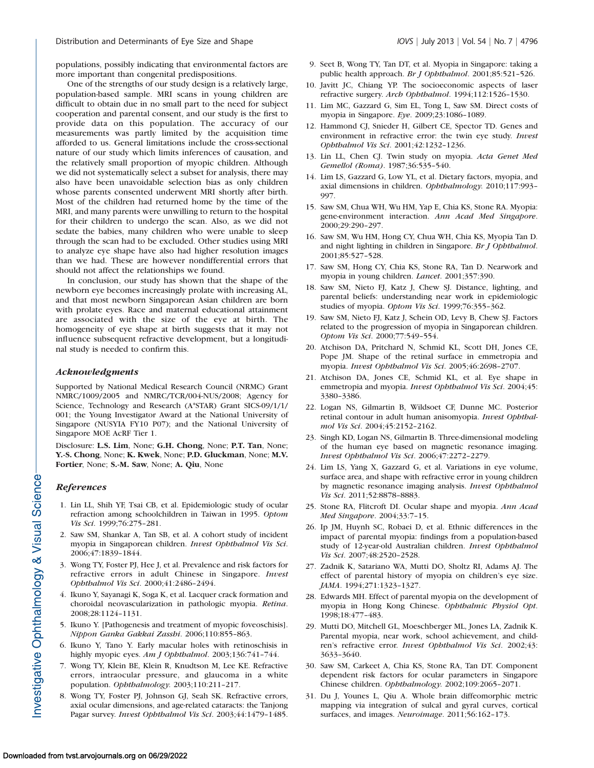populations, possibly indicating that environmental factors are more important than congenital predispositions.

One of the strengths of our study design is a relatively large, population-based sample. MRI scans in young children are difficult to obtain due in no small part to the need for subject cooperation and parental consent, and our study is the first to provide data on this population. The accuracy of our measurements was partly limited by the acquisition time afforded to us. General limitations include the cross-sectional nature of our study which limits inferences of causation, and the relatively small proportion of myopic children. Although we did not systematically select a subset for analysis, there may also have been unavoidable selection bias as only children whose parents consented underwent MRI shortly after birth. Most of the children had returned home by the time of the MRI, and many parents were unwilling to return to the hospital for their children to undergo the scan. Also, as we did not sedate the babies, many children who were unable to sleep through the scan had to be excluded. Other studies using MRI to analyze eye shape have also had higher resolution images than we had. These are however nondifferential errors that should not affect the relationships we found.

In conclusion, our study has shown that the shape of the newborn eye becomes increasingly prolate with increasing AL, and that most newborn Singaporean Asian children are born with prolate eyes. Race and maternal educational attainment are associated with the size of the eye at birth. The homogeneity of eye shape at birth suggests that it may not influence subsequent refractive development, but a longitudinal study is needed to confirm this.

## Acknowledgments

Supported by National Medical Research Council (NRMC) Grant NMRC/1009/2005 and NMRC/TCR/004-NUS/2008; Agency for Science, Technology and Research (A\*STAR) Grant SICS-09/1/1/ 001; the Young Investigator Award at the National University of Singapore (NUSYIA FY10 P07); and the National University of Singapore MOE AcRF Tier 1.

Disclosure: L.S. Lim, None; G.H. Chong, None; P.T. Tan, None; Y.-S. Chong, None; K. Kwek, None; P.D. Gluckman, None; M.V. Fortier, None; S.-M. Saw, None; A. Qiu, None

# **References**

Investigative Ophthalmology & Visual Science-

- 1. Lin LL, Shih YF, Tsai CB, et al. Epidemiologic study of ocular refraction among schoolchildren in Taiwan in 1995. Optom Vis Sci. 1999;76:275–281.
- 2. Saw SM, Shankar A, Tan SB, et al. A cohort study of incident myopia in Singaporean children. Invest Ophthalmol Vis Sci. 2006;47:1839–1844.
- 3. Wong TY, Foster PJ, Hee J, et al. Prevalence and risk factors for refractive errors in adult Chinese in Singapore. Invest Ophthalmol Vis Sci. 2000;41:2486–2494.
- 4. Ikuno Y, Sayanagi K, Soga K, et al. Lacquer crack formation and choroidal neovascularization in pathologic myopia. Retina. 2008;28:1124–1131.
- 5. Ikuno Y. [Pathogenesis and treatment of myopic foveoschisis]. Nippon Ganka Gakkai Zasshi. 2006;110:855–863.
- 6. Ikuno Y, Tano Y. Early macular holes with retinoschisis in highly myopic eyes. Am J Ophthalmol. 2003;136:741-744.
- 7. Wong TY, Klein BE, Klein R, Knudtson M, Lee KE. Refractive errors, intraocular pressure, and glaucoma in a white population. Ophthalmology. 2003;110:211–217.
- 8. Wong TY, Foster PJ, Johnson GJ, Seah SK. Refractive errors, axial ocular dimensions, and age-related cataracts: the Tanjong Pagar survey. Invest Ophthalmol Vis Sci. 2003;44:1479–1485.
- 9. Seet B, Wong TY, Tan DT, et al. Myopia in Singapore: taking a public health approach. Br J Ophthalmol. 2001;85:521-526.
- 10. Javitt JC, Chiang YP. The socioeconomic aspects of laser refractive surgery. Arch Ophthalmol. 1994;112:1526–1530.
- 11. Lim MC, Gazzard G, Sim EL, Tong L, Saw SM. Direct costs of myopia in Singapore. Eye. 2009;23:1086–1089.
- 12. Hammond CJ, Snieder H, Gilbert CE, Spector TD. Genes and environment in refractive error: the twin eye study. Invest Ophthalmol Vis Sci. 2001;42:1232–1236.
- 13. Lin LL, Chen CJ. Twin study on myopia. Acta Genet Med Gemellol (Roma). 1987;36:535–540.
- 14. Lim LS, Gazzard G, Low YL, et al. Dietary factors, myopia, and axial dimensions in children. Ophthalmology. 2010;117:993– 997.
- 15. Saw SM, Chua WH, Wu HM, Yap E, Chia KS, Stone RA. Myopia: gene-environment interaction. Ann Acad Med Singapore. 2000;29:290–297.
- 16. Saw SM, Wu HM, Hong CY, Chua WH, Chia KS, Myopia Tan D. and night lighting in children in Singapore. Br J Ophthalmol. 2001;85:527–528.
- 17. Saw SM, Hong CY, Chia KS, Stone RA, Tan D. Nearwork and myopia in young children. Lancet. 2001;357:390.
- 18. Saw SM, Nieto FJ, Katz J, Chew SJ. Distance, lighting, and parental beliefs: understanding near work in epidemiologic studies of myopia. Optom Vis Sci. 1999;76:355–362.
- 19. Saw SM, Nieto FJ, Katz J, Schein OD, Levy B, Chew SJ. Factors related to the progression of myopia in Singaporean children. Optom Vis Sci. 2000;77:549–554.
- 20. Atchison DA, Pritchard N, Schmid KL, Scott DH, Jones CE, Pope JM. Shape of the retinal surface in emmetropia and myopia. Invest Ophthalmol Vis Sci. 2005;46:2698–2707.
- 21. Atchison DA, Jones CE, Schmid KL, et al. Eye shape in emmetropia and myopia. Invest Ophthalmol Vis Sci. 2004;45: 3380–3386.
- 22. Logan NS, Gilmartin B, Wildsoet CF, Dunne MC. Posterior retinal contour in adult human anisomyopia. Invest Ophthalmol Vis Sci. 2004;45:2152–2162.
- 23. Singh KD, Logan NS, Gilmartin B. Three-dimensional modeling of the human eye based on magnetic resonance imaging. Invest Ophthalmol Vis Sci. 2006;47:2272–2279.
- 24. Lim LS, Yang X, Gazzard G, et al. Variations in eye volume, surface area, and shape with refractive error in young children by magnetic resonance imaging analysis. Invest Ophthalmol Vis Sci. 2011;52:8878–8883.
- 25. Stone RA, Flitcroft DI. Ocular shape and myopia. Ann Acad Med Singapore. 2004;33:7–15.
- 26. Ip JM, Huynh SC, Robaei D, et al. Ethnic differences in the impact of parental myopia: findings from a population-based study of 12-year-old Australian children. Invest Ophthalmol Vis Sci. 2007;48:2520–2528.
- 27. Zadnik K, Satariano WA, Mutti DO, Sholtz RI, Adams AJ. The effect of parental history of myopia on children's eye size. JAMA. 1994;271:1323–1327.
- 28. Edwards MH. Effect of parental myopia on the development of myopia in Hong Kong Chinese. Ophthalmic Physiol Opt. 1998;18:477–483.
- 29. Mutti DO, Mitchell GL, Moeschberger ML, Jones LA, Zadnik K. Parental myopia, near work, school achievement, and children's refractive error. Invest Ophthalmol Vis Sci. 2002;43: 3633–3640.
- 30. Saw SM, Carkeet A, Chia KS, Stone RA, Tan DT. Component dependent risk factors for ocular parameters in Singapore Chinese children. Ophthalmology. 2002;109:2065–2071.
- 31. Du J, Younes L, Qiu A. Whole brain diffeomorphic metric mapping via integration of sulcal and gyral curves, cortical surfaces, and images. Neuroimage. 2011;56:162–173.